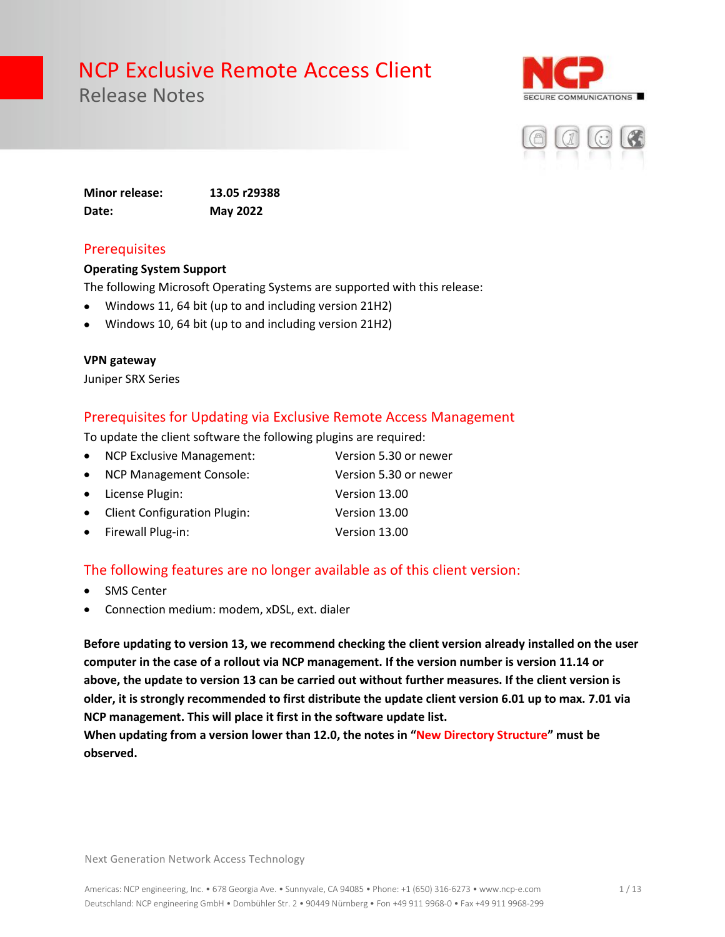Release Notes





**Minor release: 13.05 r29388 Date: May 2022**

### **Prerequisites**

#### **Operating System Support**

The following Microsoft Operating Systems are supported with this release:

- Windows 11, 64 bit (up to and including version 21H2)
- Windows 10, 64 bit (up to and including version 21H2)

#### **VPN gateway**

Juniper SRX Series

### Prerequisites for Updating via Exclusive Remote Access Management

To update the client software the following plugins are required:

| • NCP Exclusive Management:    | Version 5.30 or newer |
|--------------------------------|-----------------------|
| • NCP Management Console:      | Version 5.30 or newer |
| • License Plugin:              | Version 13.00         |
| • Client Configuration Plugin: | Version 13.00         |
| • Firewall Plug-in:            | Version 13.00         |

### The following features are no longer available as of this client version:

- **SMS Center**
- Connection medium: modem, xDSL, ext. dialer

**Before updating to version 13, we recommend checking the client version already installed on the user computer in the case of a rollout via NCP management. If the version number is version 11.14 or above, the update to version 13 can be carried out without further measures. If the client version is older, it is strongly recommended to first distribute the update client version 6.01 up to max. 7.01 via NCP management. This will place it first in the software update list.** 

**When updating from a version lower than 12.0, the notes in "New Directory Structure" must be observed.**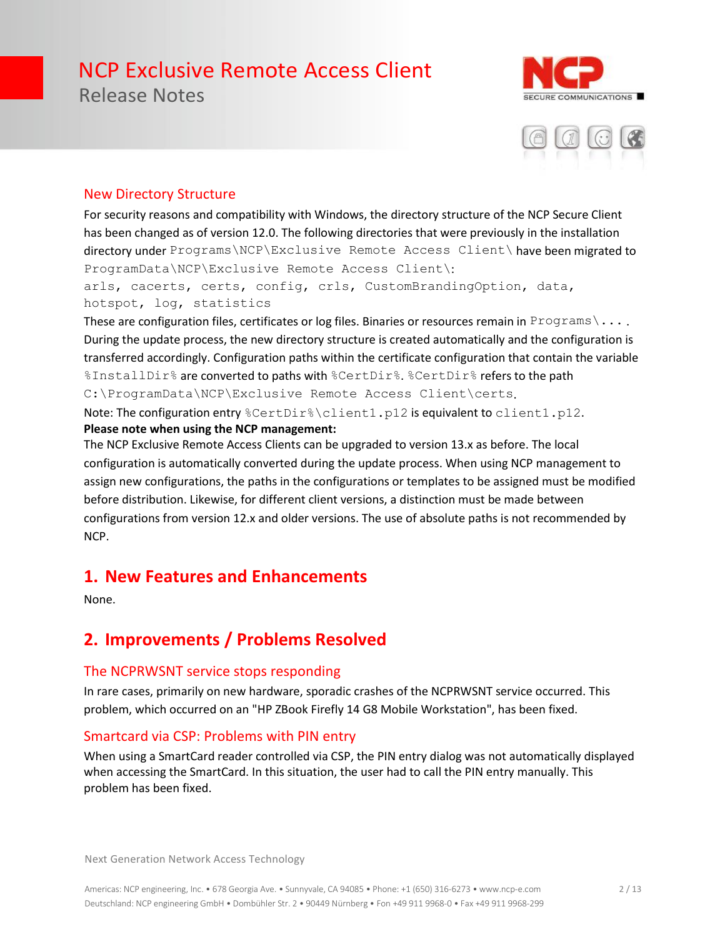Release Notes





### New Directory Structure

For security reasons and compatibility with Windows, the directory structure of the NCP Secure Client has been changed as of version 12.0. The following directories that were previously in the installation directory under Programs\NCP\Exclusive Remote Access Client\ have been migrated to ProgramData\NCP\Exclusive Remote Access Client\:

arls, cacerts, certs, config, crls, CustomBrandingOption, data, hotspot, log, statistics

These are configuration files, certificates or log files. Binaries or resources remain in Programs \... During the update process, the new directory structure is created automatically and the configuration is transferred accordingly. Configuration paths within the certificate configuration that contain the variable %InstallDir% are converted to paths with %CertDir%. %CertDir% refers to the path C:\ProgramData\NCP\Exclusive Remote Access Client\certs.

Note: The configuration entry %CertDir%\client1.p12 is equivalent to client1.p12. **Please note when using the NCP management:**

The NCP Exclusive Remote Access Clients can be upgraded to version 13.x as before. The local configuration is automatically converted during the update process. When using NCP management to assign new configurations, the paths in the configurations or templates to be assigned must be modified before distribution. Likewise, for different client versions, a distinction must be made between configurations from version 12.x and older versions. The use of absolute paths is not recommended by NCP.

### **1. New Features and Enhancements**

None.

### **2. Improvements / Problems Resolved**

### The NCPRWSNT service stops responding

In rare cases, primarily on new hardware, sporadic crashes of the NCPRWSNT service occurred. This problem, which occurred on an "HP ZBook Firefly 14 G8 Mobile Workstation", has been fixed.

### Smartcard via CSP: Problems with PIN entry

When using a SmartCard reader controlled via CSP, the PIN entry dialog was not automatically displayed when accessing the SmartCard. In this situation, the user had to call the PIN entry manually. This problem has been fixed.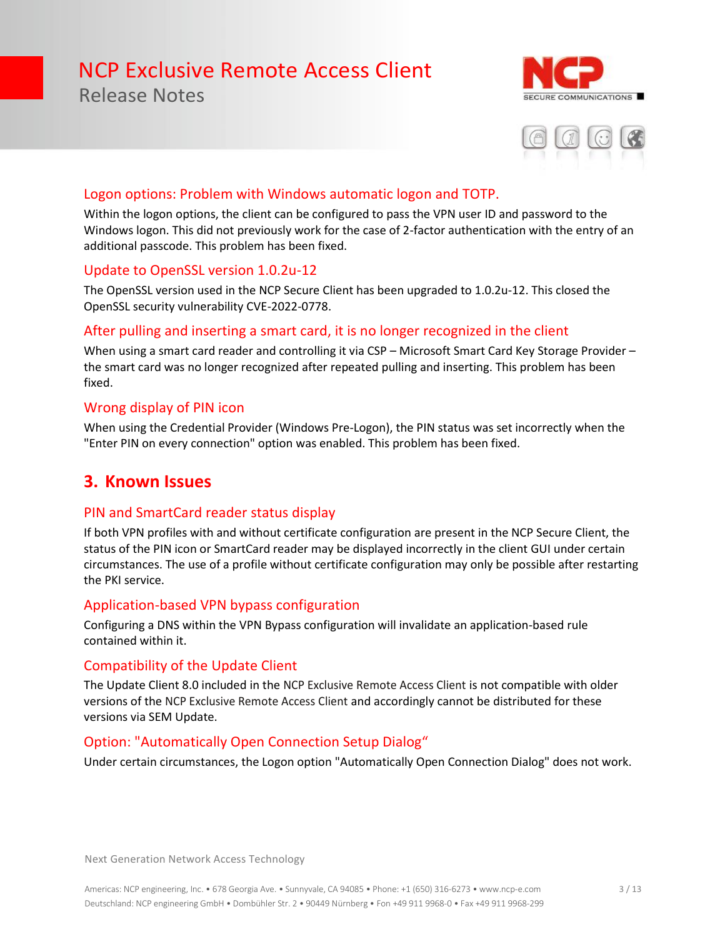### Release Notes





### Logon options: Problem with Windows automatic logon and TOTP.

Within the logon options, the client can be configured to pass the VPN user ID and password to the Windows logon. This did not previously work for the case of 2-factor authentication with the entry of an additional passcode. This problem has been fixed.

### Update to OpenSSL version 1.0.2u-12

The OpenSSL version used in the NCP Secure Client has been upgraded to 1.0.2u-12. This closed the OpenSSL security vulnerability CVE-2022-0778.

### After pulling and inserting a smart card, it is no longer recognized in the client

When using a smart card reader and controlling it via CSP - Microsoft Smart Card Key Storage Provider the smart card was no longer recognized after repeated pulling and inserting. This problem has been fixed.

### Wrong display of PIN icon

When using the Credential Provider (Windows Pre-Logon), the PIN status was set incorrectly when the "Enter PIN on every connection" option was enabled. This problem has been fixed.

### **3. Known Issues**

### PIN and SmartCard reader status display

If both VPN profiles with and without certificate configuration are present in the NCP Secure Client, the status of the PIN icon or SmartCard reader may be displayed incorrectly in the client GUI under certain circumstances. The use of a profile without certificate configuration may only be possible after restarting the PKI service.

### Application-based VPN bypass configuration

Configuring a DNS within the VPN Bypass configuration will invalidate an application-based rule contained within it.

### Compatibility of the Update Client

The Update Client 8.0 included in the NCP Exclusive Remote Access Client is not compatible with older versions of the NCP Exclusive Remote Access Client and accordingly cannot be distributed for these versions via SEM Update.

### Option: "Automatically Open Connection Setup Dialog"

Under certain circumstances, the Logon option "Automatically Open Connection Dialog" does not work.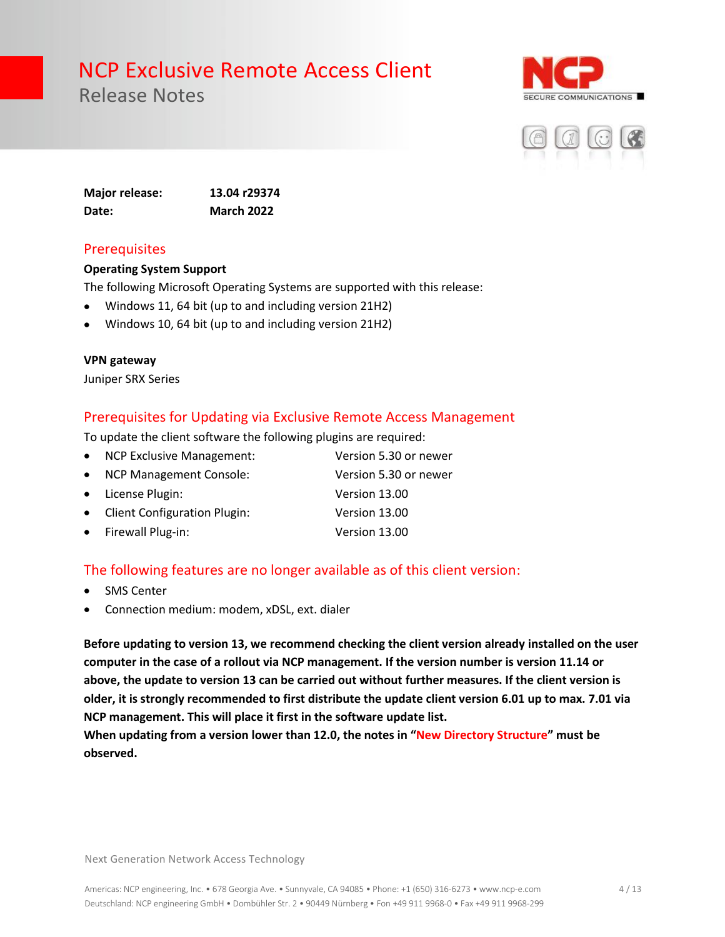Release Notes





**Major release: 13.04 r29374 Date: March 2022**

### **Prerequisites**

#### **Operating System Support**

The following Microsoft Operating Systems are supported with this release:

- Windows 11, 64 bit (up to and including version 21H2)
- Windows 10, 64 bit (up to and including version 21H2)

#### **VPN gateway**

Juniper SRX Series

### Prerequisites for Updating via Exclusive Remote Access Management

To update the client software the following plugins are required:

| • NCP Exclusive Management:    | Version 5.30 or newer |
|--------------------------------|-----------------------|
| • NCP Management Console:      | Version 5.30 or newer |
| • License Plugin:              | Version 13.00         |
| • Client Configuration Plugin: | Version 13.00         |
| • Firewall Plug-in:            | Version 13.00         |

### The following features are no longer available as of this client version:

- **SMS Center**
- Connection medium: modem, xDSL, ext. dialer

**Before updating to version 13, we recommend checking the client version already installed on the user computer in the case of a rollout via NCP management. If the version number is version 11.14 or above, the update to version 13 can be carried out without further measures. If the client version is older, it is strongly recommended to first distribute the update client version 6.01 up to max. 7.01 via NCP management. This will place it first in the software update list.** 

**When updating from a version lower than 12.0, the notes in "New Directory Structure" must be observed.**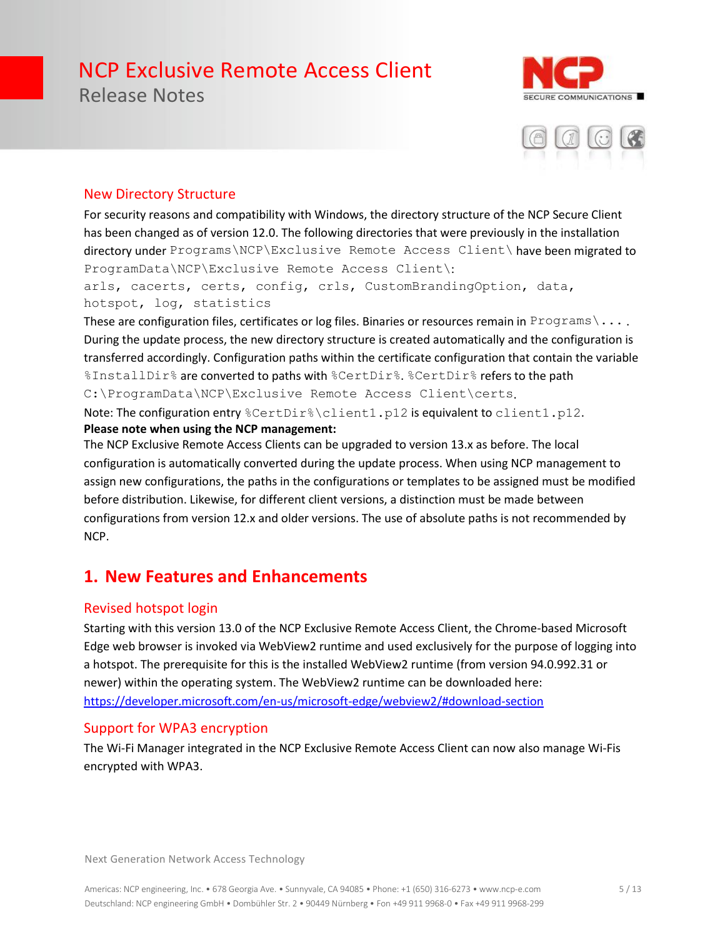Release Notes





### New Directory Structure

For security reasons and compatibility with Windows, the directory structure of the NCP Secure Client has been changed as of version 12.0. The following directories that were previously in the installation directory under Programs\NCP\Exclusive Remote Access Client\ have been migrated to ProgramData\NCP\Exclusive Remote Access Client\:

arls, cacerts, certs, config, crls, CustomBrandingOption, data, hotspot, log, statistics

These are configuration files, certificates or log files. Binaries or resources remain in Programs \... During the update process, the new directory structure is created automatically and the configuration is transferred accordingly. Configuration paths within the certificate configuration that contain the variable %InstallDir% are converted to paths with %CertDir%. %CertDir% refers to the path C:\ProgramData\NCP\Exclusive Remote Access Client\certs.

Note: The configuration entry %CertDir%\client1.p12 is equivalent to client1.p12. **Please note when using the NCP management:**

The NCP Exclusive Remote Access Clients can be upgraded to version 13.x as before. The local configuration is automatically converted during the update process. When using NCP management to assign new configurations, the paths in the configurations or templates to be assigned must be modified before distribution. Likewise, for different client versions, a distinction must be made between configurations from version 12.x and older versions. The use of absolute paths is not recommended by NCP.

### **1. New Features and Enhancements**

### Revised hotspot login

Starting with this version 13.0 of the NCP Exclusive Remote Access Client, the Chrome-based Microsoft Edge web browser is invoked via WebView2 runtime and used exclusively for the purpose of logging into a hotspot. The prerequisite for this is the installed WebView2 runtime (from version 94.0.992.31 or newer) within the operating system. The WebView2 runtime can be downloaded here: <https://developer.microsoft.com/en-us/microsoft-edge/webview2/#download-section>

### Support for WPA3 encryption

The Wi-Fi Manager integrated in the NCP Exclusive Remote Access Client can now also manage Wi-Fis encrypted with WPA3.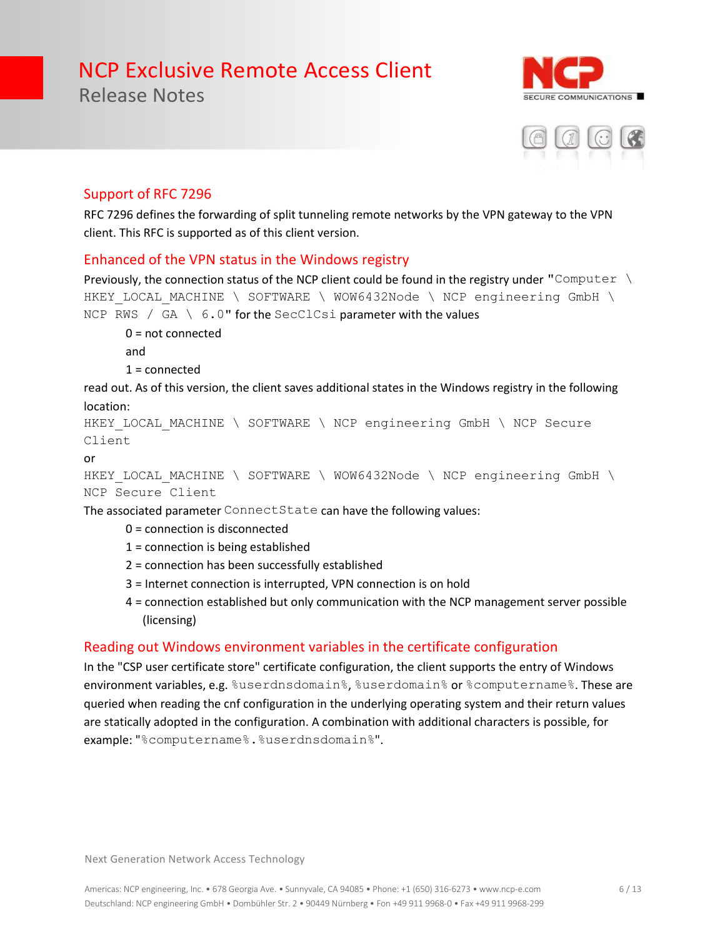E COMMUNICATIONS

### Support of RFC 7296

Release Notes

RFC 7296 defines the forwarding of split tunneling remote networks by the VPN gateway to the VPN client. This RFC is supported as of this client version.

### Enhanced of the VPN status in the Windows registry

Previously, the connection status of the NCP client could be found in the registry under "Computer  $\setminus$ HKEY LOCAL MACHINE \ SOFTWARE \ WOW6432Node \ NCP engineering GmbH \ NCP RWS / GA \ 6.0" for the SecClCsi parameter with the values

0 = not connected and  $1 =$ connected

read out. As of this version, the client saves additional states in the Windows registry in the following location:

```
HKEY LOCAL MACHINE \ SOFTWARE \ NCP engineering GmbH \ NCP Secure
Client
```
or

HKEY LOCAL MACHINE \ SOFTWARE \ WOW6432Node \ NCP engineering GmbH \ NCP Secure Client

The associated parameter ConnectState can have the following values:

- 0 = connection is disconnected
- 1 = connection is being established
- 2 = connection has been successfully established
- 3 = Internet connection is interrupted, VPN connection is on hold
- 4 = connection established but only communication with the NCP management server possible (licensing)

### Reading out Windows environment variables in the certificate configuration

In the "CSP user certificate store" certificate configuration, the client supports the entry of Windows environment variables, e.g. %userdnsdomain%, %userdomain% or %computername%. These are queried when reading the cnf configuration in the underlying operating system and their return values are statically adopted in the configuration. A combination with additional characters is possible, for example: "%computername%.%userdnsdomain%".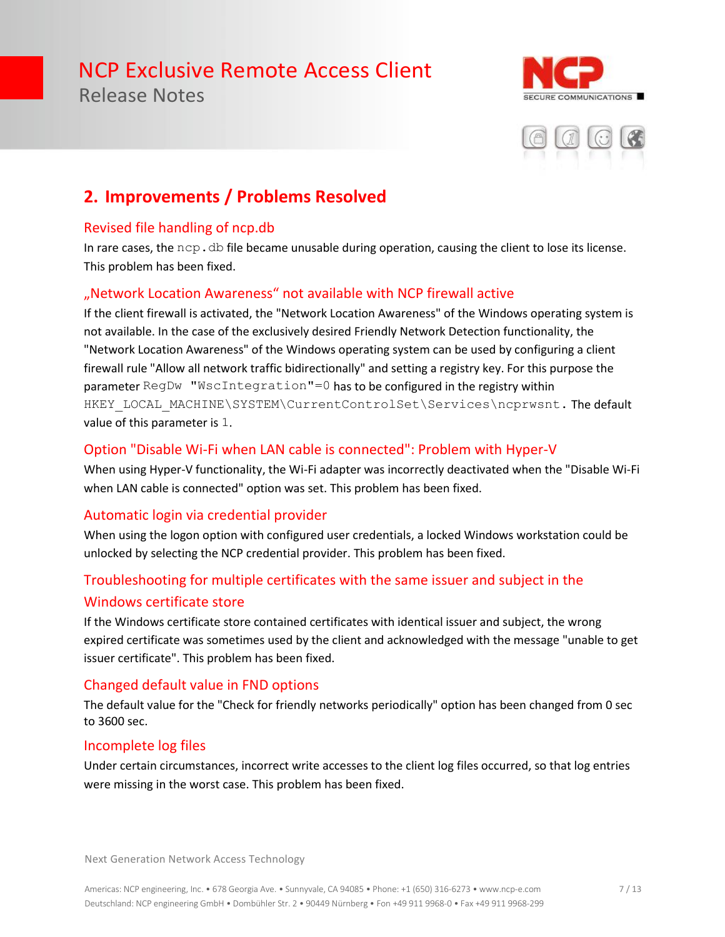Release Notes





### **2. Improvements / Problems Resolved**

### Revised file handling of ncp.db

In rare cases, the  $ncp$ .  $db$  file became unusable during operation, causing the client to lose its license. This problem has been fixed.

### "Network Location Awareness" not available with NCP firewall active

If the client firewall is activated, the "Network Location Awareness" of the Windows operating system is not available. In the case of the exclusively desired Friendly Network Detection functionality, the "Network Location Awareness" of the Windows operating system can be used by configuring a client firewall rule "Allow all network traffic bidirectionally" and setting a registry key. For this purpose the parameter RegDw "WscIntegration"=0 has to be configured in the registry within HKEY\_LOCAL\_MACHINE\SYSTEM\CurrentControlSet\Services\ncprwsnt. The default value of this parameter is 1.

### Option "Disable Wi-Fi when LAN cable is connected": Problem with Hyper-V

When using Hyper-V functionality, the Wi-Fi adapter was incorrectly deactivated when the "Disable Wi-Fi when LAN cable is connected" option was set. This problem has been fixed.

### Automatic login via credential provider

When using the logon option with configured user credentials, a locked Windows workstation could be unlocked by selecting the NCP credential provider. This problem has been fixed.

### Troubleshooting for multiple certificates with the same issuer and subject in the Windows certificate store

If the Windows certificate store contained certificates with identical issuer and subject, the wrong expired certificate was sometimes used by the client and acknowledged with the message "unable to get issuer certificate". This problem has been fixed.

### Changed default value in FND options

The default value for the "Check for friendly networks periodically" option has been changed from 0 sec to 3600 sec.

### Incomplete log files

Under certain circumstances, incorrect write accesses to the client log files occurred, so that log entries were missing in the worst case. This problem has been fixed.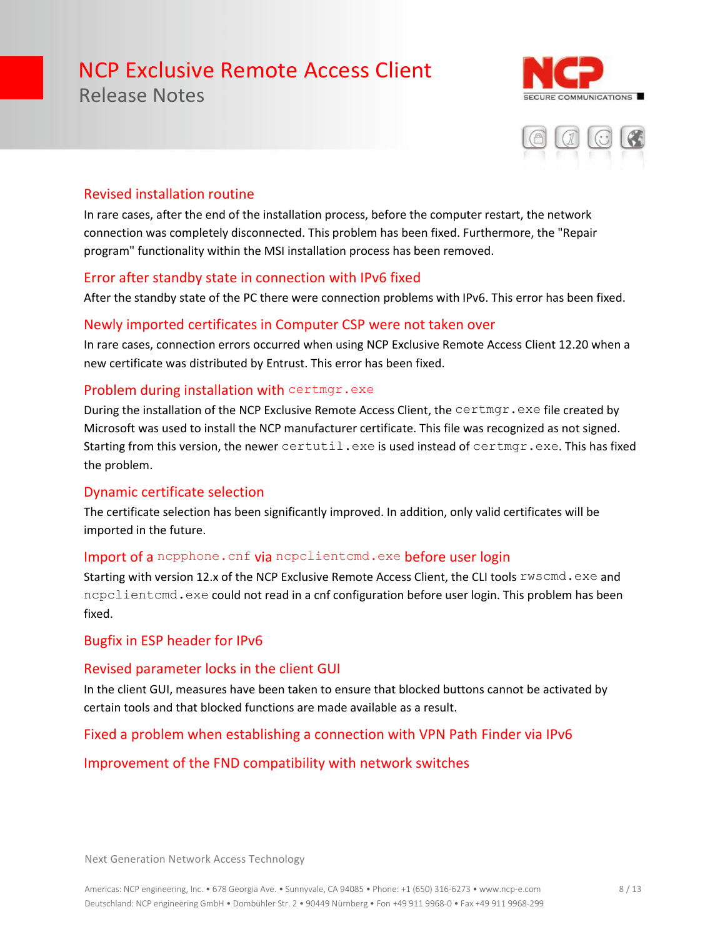Release Notes





### Revised installation routine

In rare cases, after the end of the installation process, before the computer restart, the network connection was completely disconnected. This problem has been fixed. Furthermore, the "Repair program" functionality within the MSI installation process has been removed.

### Error after standby state in connection with IPv6 fixed

After the standby state of the PC there were connection problems with IPv6. This error has been fixed.

### Newly imported certificates in Computer CSP were not taken over

In rare cases, connection errors occurred when using NCP Exclusive Remote Access Client 12.20 when a new certificate was distributed by Entrust. This error has been fixed.

#### Problem during installation with certmgr.exe

During the installation of the NCP Exclusive Remote Access Client, the certmgr.exe file created by Microsoft was used to install the NCP manufacturer certificate. This file was recognized as not signed. Starting from this version, the newer certutil.exe is used instead of certmgr.exe. This has fixed the problem.

### Dynamic certificate selection

The certificate selection has been significantly improved. In addition, only valid certificates will be imported in the future.

### Import of a nepphone. cnf via nepelientemd.exe before user login

Starting with version 12.x of the NCP Exclusive Remote Access Client, the CLI tools  $\text{rwscmd}$ . exe and ncpclientcmd.exe could not read in a cnf configuration before user login. This problem has been fixed.

### Bugfix in ESP header for IPv6

### Revised parameter locks in the client GUI

In the client GUI, measures have been taken to ensure that blocked buttons cannot be activated by certain tools and that blocked functions are made available as a result.

### Fixed a problem when establishing a connection with VPN Path Finder via IPv6

### Improvement of the FND compatibility with network switches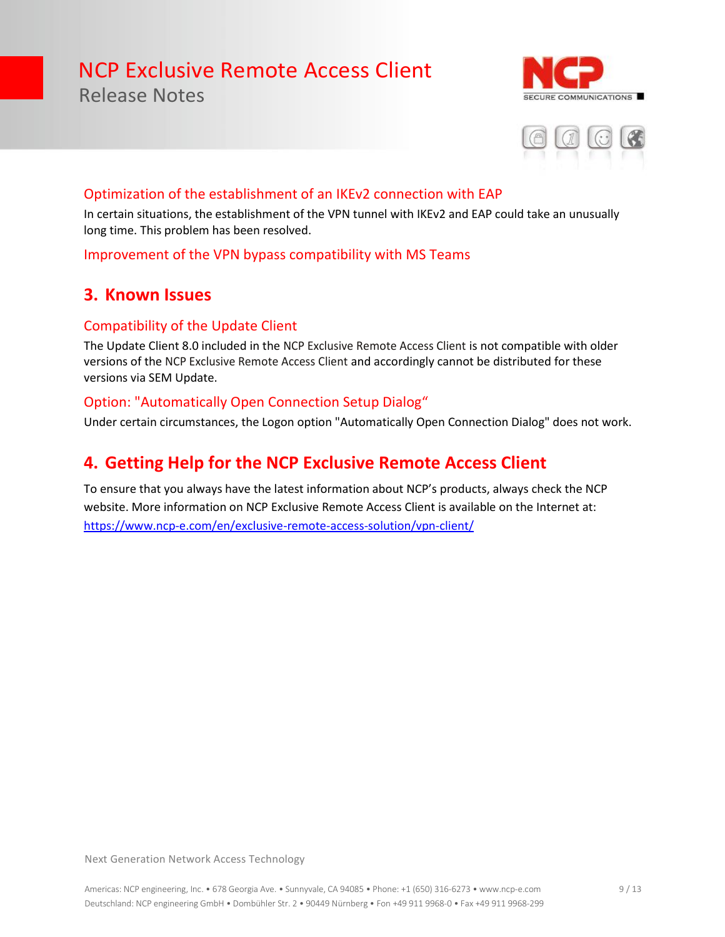Release Notes





### Optimization of the establishment of an IKEv2 connection with EAP

In certain situations, the establishment of the VPN tunnel with IKEv2 and EAP could take an unusually long time. This problem has been resolved.

### Improvement of the VPN bypass compatibility with MS Teams

### **3. Known Issues**

### Compatibility of the Update Client

The Update Client 8.0 included in the NCP Exclusive Remote Access Client is not compatible with older versions of the NCP Exclusive Remote Access Client and accordingly cannot be distributed for these versions via SEM Update.

### Option: "Automatically Open Connection Setup Dialog"

Under certain circumstances, the Logon option "Automatically Open Connection Dialog" does not work.

### **4. Getting Help for the NCP Exclusive Remote Access Client**

To ensure that you always have the latest information about NCP's products, always check the NCP website. More information on NCP Exclusive Remote Access Client is available on the Internet at: <https://www.ncp-e.com/en/exclusive-remote-access-solution/vpn-client/>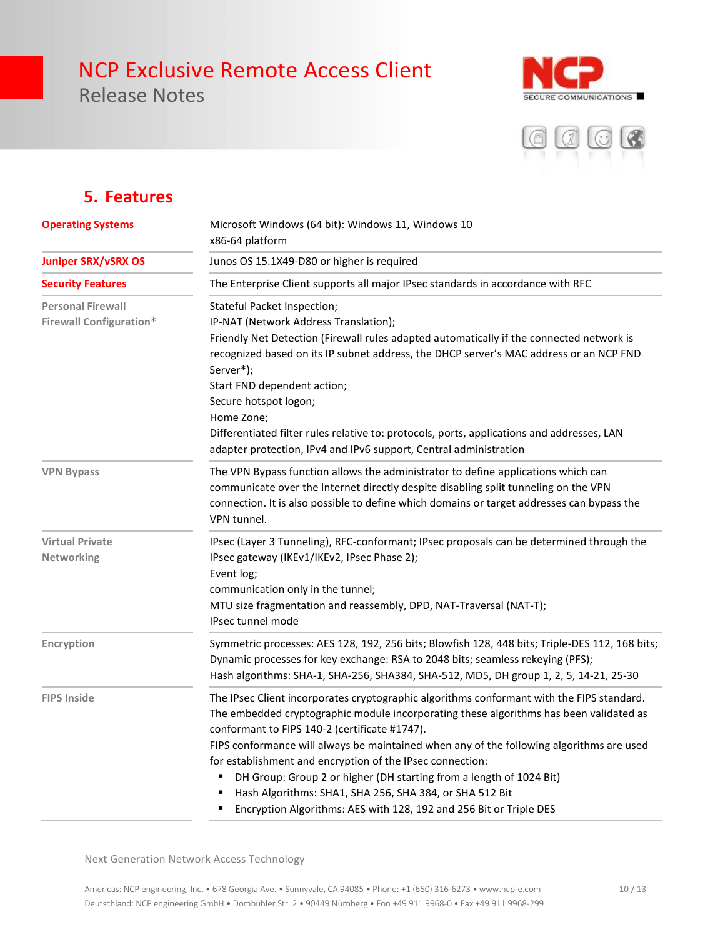Release Notes





### **5. Features**

| <b>Operating Systems</b>                                   | Microsoft Windows (64 bit): Windows 11, Windows 10<br>x86-64 platform<br>Junos OS 15.1X49-D80 or higher is required                                                                                                                                                                                                                                                                                                                                                                                                                                                                                   |  |  |
|------------------------------------------------------------|-------------------------------------------------------------------------------------------------------------------------------------------------------------------------------------------------------------------------------------------------------------------------------------------------------------------------------------------------------------------------------------------------------------------------------------------------------------------------------------------------------------------------------------------------------------------------------------------------------|--|--|
| <b>Juniper SRX/vSRX OS</b>                                 |                                                                                                                                                                                                                                                                                                                                                                                                                                                                                                                                                                                                       |  |  |
| <b>Security Features</b>                                   | The Enterprise Client supports all major IPsec standards in accordance with RFC                                                                                                                                                                                                                                                                                                                                                                                                                                                                                                                       |  |  |
| <b>Personal Firewall</b><br><b>Firewall Configuration*</b> | Stateful Packet Inspection;<br>IP-NAT (Network Address Translation);<br>Friendly Net Detection (Firewall rules adapted automatically if the connected network is<br>recognized based on its IP subnet address, the DHCP server's MAC address or an NCP FND<br>Server*);<br>Start FND dependent action;<br>Secure hotspot logon;<br>Home Zone;<br>Differentiated filter rules relative to: protocols, ports, applications and addresses, LAN<br>adapter protection, IPv4 and IPv6 support, Central administration                                                                                      |  |  |
| <b>VPN Bypass</b>                                          | The VPN Bypass function allows the administrator to define applications which can<br>communicate over the Internet directly despite disabling split tunneling on the VPN<br>connection. It is also possible to define which domains or target addresses can bypass the<br>VPN tunnel.                                                                                                                                                                                                                                                                                                                 |  |  |
| <b>Virtual Private</b><br>Networking                       | IPsec (Layer 3 Tunneling), RFC-conformant; IPsec proposals can be determined through the<br>IPsec gateway (IKEv1/IKEv2, IPsec Phase 2);<br>Event log;<br>communication only in the tunnel;<br>MTU size fragmentation and reassembly, DPD, NAT-Traversal (NAT-T);<br><b>IPsec tunnel mode</b>                                                                                                                                                                                                                                                                                                          |  |  |
| Encryption                                                 | Symmetric processes: AES 128, 192, 256 bits; Blowfish 128, 448 bits; Triple-DES 112, 168 bits;<br>Dynamic processes for key exchange: RSA to 2048 bits; seamless rekeying (PFS);<br>Hash algorithms: SHA-1, SHA-256, SHA384, SHA-512, MD5, DH group 1, 2, 5, 14-21, 25-30                                                                                                                                                                                                                                                                                                                             |  |  |
| <b>FIPS Inside</b>                                         | The IPsec Client incorporates cryptographic algorithms conformant with the FIPS standard.<br>The embedded cryptographic module incorporating these algorithms has been validated as<br>conformant to FIPS 140-2 (certificate #1747).<br>FIPS conformance will always be maintained when any of the following algorithms are used<br>for establishment and encryption of the IPsec connection:<br>DH Group: Group 2 or higher (DH starting from a length of 1024 Bit)<br>Hash Algorithms: SHA1, SHA 256, SHA 384, or SHA 512 Bit<br>Encryption Algorithms: AES with 128, 192 and 256 Bit or Triple DES |  |  |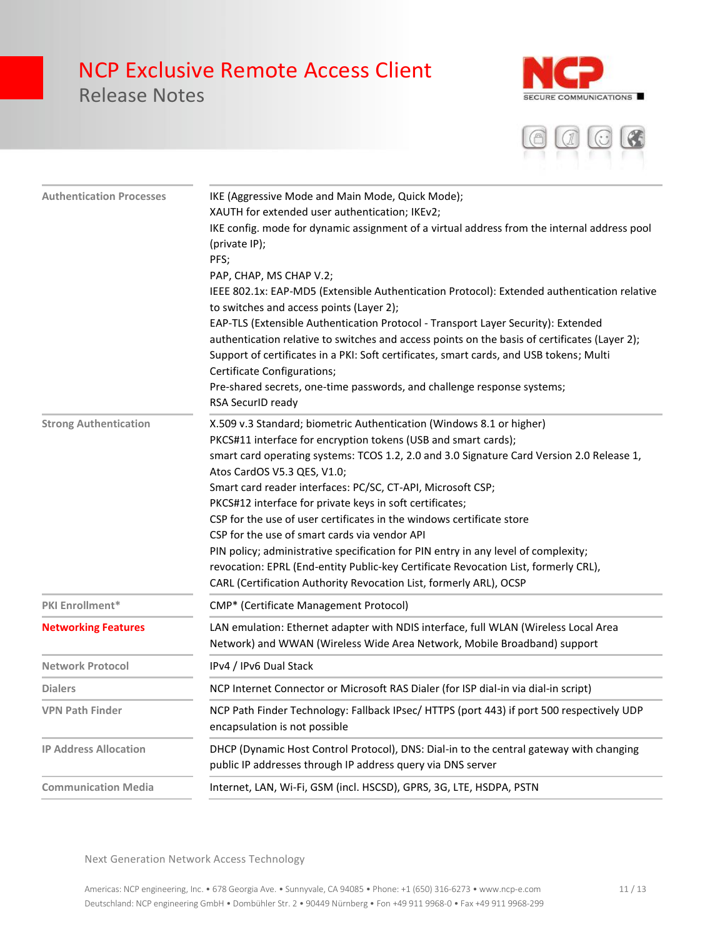## Release Notes





| <b>Authentication Processes</b> | IKE (Aggressive Mode and Main Mode, Quick Mode);<br>XAUTH for extended user authentication; IKEv2;<br>IKE config. mode for dynamic assignment of a virtual address from the internal address pool<br>(private IP);<br>PFS;<br>PAP, CHAP, MS CHAP V.2;<br>IEEE 802.1x: EAP-MD5 (Extensible Authentication Protocol): Extended authentication relative<br>to switches and access points (Layer 2);<br>EAP-TLS (Extensible Authentication Protocol - Transport Layer Security): Extended<br>authentication relative to switches and access points on the basis of certificates (Layer 2);<br>Support of certificates in a PKI: Soft certificates, smart cards, and USB tokens; Multi<br>Certificate Configurations;<br>Pre-shared secrets, one-time passwords, and challenge response systems;<br>RSA SecurID ready |
|---------------------------------|------------------------------------------------------------------------------------------------------------------------------------------------------------------------------------------------------------------------------------------------------------------------------------------------------------------------------------------------------------------------------------------------------------------------------------------------------------------------------------------------------------------------------------------------------------------------------------------------------------------------------------------------------------------------------------------------------------------------------------------------------------------------------------------------------------------|
| <b>Strong Authentication</b>    | X.509 v.3 Standard; biometric Authentication (Windows 8.1 or higher)<br>PKCS#11 interface for encryption tokens (USB and smart cards);<br>smart card operating systems: TCOS 1.2, 2.0 and 3.0 Signature Card Version 2.0 Release 1,<br>Atos CardOS V5.3 QES, V1.0;<br>Smart card reader interfaces: PC/SC, CT-API, Microsoft CSP;<br>PKCS#12 interface for private keys in soft certificates;<br>CSP for the use of user certificates in the windows certificate store<br>CSP for the use of smart cards via vendor API<br>PIN policy; administrative specification for PIN entry in any level of complexity;<br>revocation: EPRL (End-entity Public-key Certificate Revocation List, formerly CRL),<br>CARL (Certification Authority Revocation List, formerly ARL), OCSP                                       |
| PKI Enrollment*                 | CMP* (Certificate Management Protocol)                                                                                                                                                                                                                                                                                                                                                                                                                                                                                                                                                                                                                                                                                                                                                                           |
| <b>Networking Features</b>      | LAN emulation: Ethernet adapter with NDIS interface, full WLAN (Wireless Local Area<br>Network) and WWAN (Wireless Wide Area Network, Mobile Broadband) support                                                                                                                                                                                                                                                                                                                                                                                                                                                                                                                                                                                                                                                  |
| <b>Network Protocol</b>         | IPv4 / IPv6 Dual Stack                                                                                                                                                                                                                                                                                                                                                                                                                                                                                                                                                                                                                                                                                                                                                                                           |
| <b>Dialers</b>                  | NCP Internet Connector or Microsoft RAS Dialer (for ISP dial-in via dial-in script)                                                                                                                                                                                                                                                                                                                                                                                                                                                                                                                                                                                                                                                                                                                              |
| <b>VPN Path Finder</b>          | NCP Path Finder Technology: Fallback IPsec/ HTTPS (port 443) if port 500 respectively UDP<br>encapsulation is not possible                                                                                                                                                                                                                                                                                                                                                                                                                                                                                                                                                                                                                                                                                       |
| <b>IP Address Allocation</b>    | DHCP (Dynamic Host Control Protocol), DNS: Dial-in to the central gateway with changing<br>public IP addresses through IP address query via DNS server                                                                                                                                                                                                                                                                                                                                                                                                                                                                                                                                                                                                                                                           |
| <b>Communication Media</b>      | Internet, LAN, Wi-Fi, GSM (incl. HSCSD), GPRS, 3G, LTE, HSDPA, PSTN                                                                                                                                                                                                                                                                                                                                                                                                                                                                                                                                                                                                                                                                                                                                              |
|                                 |                                                                                                                                                                                                                                                                                                                                                                                                                                                                                                                                                                                                                                                                                                                                                                                                                  |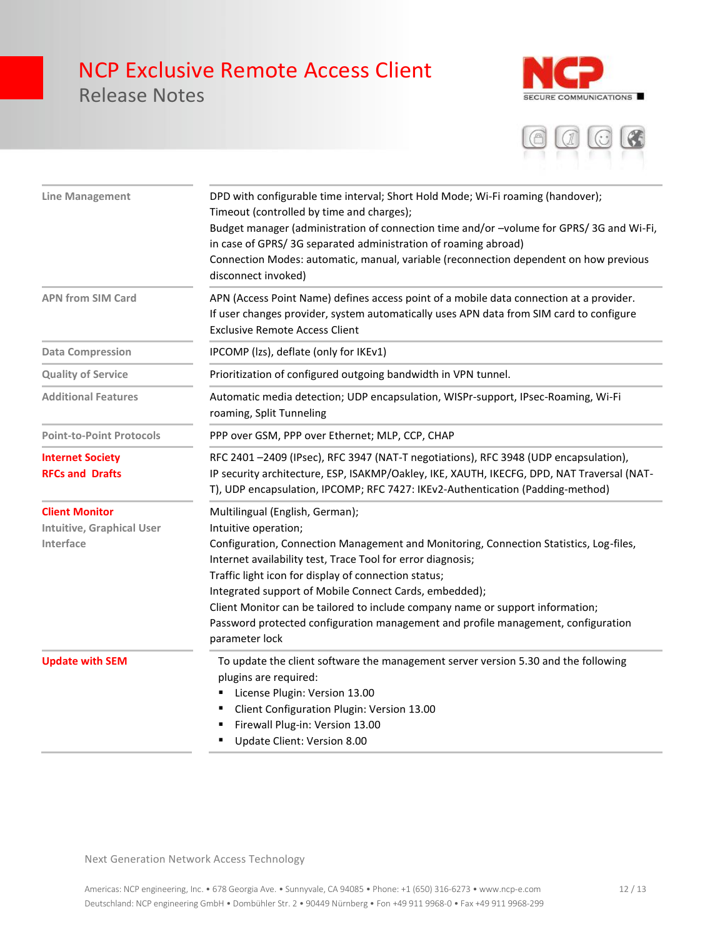Release Notes





| <b>Line Management</b>                                                 | DPD with configurable time interval; Short Hold Mode; Wi-Fi roaming (handover);<br>Timeout (controlled by time and charges);<br>Budget manager (administration of connection time and/or -volume for GPRS/3G and Wi-Fi,<br>in case of GPRS/3G separated administration of roaming abroad)<br>Connection Modes: automatic, manual, variable (reconnection dependent on how previous<br>disconnect invoked)                                                                                                                   |
|------------------------------------------------------------------------|-----------------------------------------------------------------------------------------------------------------------------------------------------------------------------------------------------------------------------------------------------------------------------------------------------------------------------------------------------------------------------------------------------------------------------------------------------------------------------------------------------------------------------|
| <b>APN from SIM Card</b>                                               | APN (Access Point Name) defines access point of a mobile data connection at a provider.<br>If user changes provider, system automatically uses APN data from SIM card to configure<br><b>Exclusive Remote Access Client</b>                                                                                                                                                                                                                                                                                                 |
| <b>Data Compression</b>                                                | IPCOMP (Izs), deflate (only for IKEv1)                                                                                                                                                                                                                                                                                                                                                                                                                                                                                      |
| <b>Quality of Service</b>                                              | Prioritization of configured outgoing bandwidth in VPN tunnel.                                                                                                                                                                                                                                                                                                                                                                                                                                                              |
| <b>Additional Features</b>                                             | Automatic media detection; UDP encapsulation, WISPr-support, IPsec-Roaming, Wi-Fi<br>roaming, Split Tunneling                                                                                                                                                                                                                                                                                                                                                                                                               |
| <b>Point-to-Point Protocols</b>                                        | PPP over GSM, PPP over Ethernet; MLP, CCP, CHAP                                                                                                                                                                                                                                                                                                                                                                                                                                                                             |
| <b>Internet Society</b><br><b>RFCs and Drafts</b>                      | RFC 2401-2409 (IPsec), RFC 3947 (NAT-T negotiations), RFC 3948 (UDP encapsulation),<br>IP security architecture, ESP, ISAKMP/Oakley, IKE, XAUTH, IKECFG, DPD, NAT Traversal (NAT-<br>T), UDP encapsulation, IPCOMP; RFC 7427: IKEv2-Authentication (Padding-method)                                                                                                                                                                                                                                                         |
| <b>Client Monitor</b><br><b>Intuitive, Graphical User</b><br>Interface | Multilingual (English, German);<br>Intuitive operation;<br>Configuration, Connection Management and Monitoring, Connection Statistics, Log-files,<br>Internet availability test, Trace Tool for error diagnosis;<br>Traffic light icon for display of connection status;<br>Integrated support of Mobile Connect Cards, embedded);<br>Client Monitor can be tailored to include company name or support information;<br>Password protected configuration management and profile management, configuration<br>parameter lock |
| <b>Update with SEM</b>                                                 | To update the client software the management server version 5.30 and the following<br>plugins are required:<br>License Plugin: Version 13.00<br>Client Configuration Plugin: Version 13.00<br>Firewall Plug-in: Version 13.00<br>Update Client: Version 8.00                                                                                                                                                                                                                                                                |